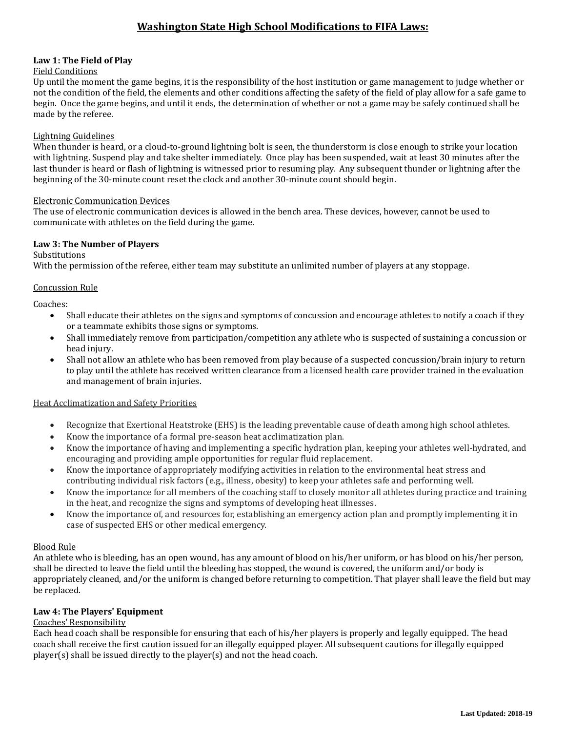### **Law 1: The Field of Play**

### Field Conditions

Up until the moment the game begins, it is the responsibility of the host institution or game management to judge whether or not the condition of the field, the elements and other conditions affecting the safety of the field of play allow for a safe game to begin. Once the game begins, and until it ends, the determination of whether or not a game may be safely continued shall be made by the referee.

#### Lightning Guidelines

When thunder is heard, or a cloud-to-ground lightning bolt is seen, the thunderstorm is close enough to strike your location with lightning. Suspend play and take shelter immediately. Once play has been suspended, wait at least 30 minutes after the last thunder is heard or flash of lightning is witnessed prior to resuming play. Any subsequent thunder or lightning after the beginning of the 30-minute count reset the clock and another 30-minute count should begin.

#### Electronic Communication Devices

The use of electronic communication devices is allowed in the bench area. These devices, however, cannot be used to communicate with athletes on the field during the game.

### **Law 3: The Number of Players**

#### **Substitutions**

With the permission of the referee, either team may substitute an unlimited number of players at any stoppage.

#### Concussion Rule

Coaches:

- Shall educate their athletes on the signs and symptoms of concussion and encourage athletes to notify a coach if they or a teammate exhibits those signs or symptoms.
- Shall immediately remove from participation/competition any athlete who is suspected of sustaining a concussion or head injury.
- Shall not allow an athlete who has been removed from play because of a suspected concussion/brain injury to return to play until the athlete has received written clearance from a licensed health care provider trained in the evaluation and management of brain injuries.

### Heat Acclimatization and Safety Priorities

- Recognize that Exertional Heatstroke (EHS) is the leading preventable cause of death among high school athletes.
- Know the importance of a formal pre-season heat acclimatization plan.
- Know the importance of having and implementing a specific hydration plan, keeping your athletes well-hydrated, and encouraging and providing ample opportunities for regular fluid replacement.
- Know the importance of appropriately modifying activities in relation to the environmental heat stress and contributing individual risk factors (e.g., illness, obesity) to keep your athletes safe and performing well.
- Know the importance for all members of the coaching staff to closely monitor all athletes during practice and training in the heat, and recognize the signs and symptoms of developing heat illnesses.
- Know the importance of, and resources for, establishing an emergency action plan and promptly implementing it in case of suspected EHS or other medical emergency.

### Blood Rule

An athlete who is bleeding, has an open wound, has any amount of blood on his/her uniform, or has blood on his/her person, shall be directed to leave the field until the bleeding has stopped, the wound is covered, the uniform and/or body is appropriately cleaned, and/or the uniform is changed before returning to competition. That player shall leave the field but may be replaced.

### **Law 4: The Players' Equipment**

## Coaches' Responsibility

Each head coach shall be responsible for ensuring that each of his/her players is properly and legally equipped. The head coach shall receive the first caution issued for an illegally equipped player. All subsequent cautions for illegally equipped player(s) shall be issued directly to the player(s) and not the head coach.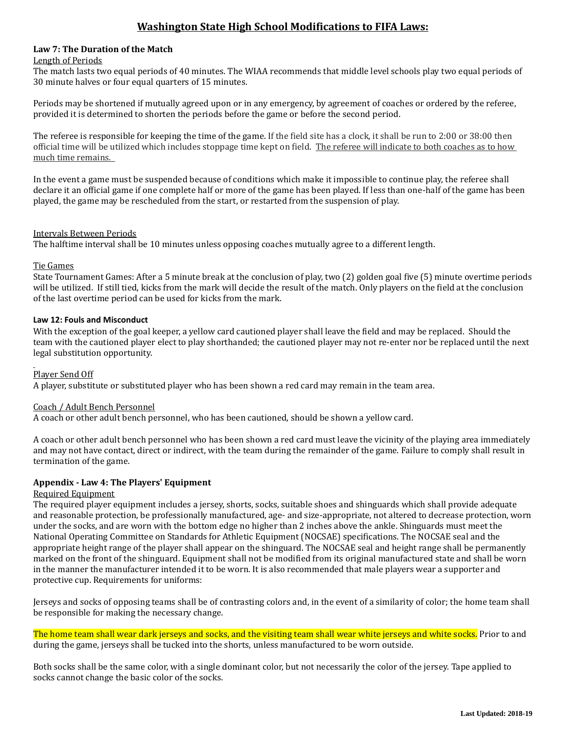### **Law 7: The Duration of the Match**

#### Length of Periods

The match lasts two equal periods of 40 minutes. The WIAA recommends that middle level schools play two equal periods of 30 minute halves or four equal quarters of 15 minutes.

Periods may be shortened if mutually agreed upon or in any emergency, by agreement of coaches or ordered by the referee, provided it is determined to shorten the periods before the game or before the second period.

The referee is responsible for keeping the time of the game. If the field site has a clock, it shall be run to 2:00 or 38:00 then official time will be utilized which includes stoppage time kept on field. The referee will indicate to both coaches as to how much time remains.

In the event a game must be suspended because of conditions which make it impossible to continue play, the referee shall declare it an official game if one complete half or more of the game has been played. If less than one-half of the game has been played, the game may be rescheduled from the start, or restarted from the suspension of play.

### Intervals Between Periods

The halftime interval shall be 10 minutes unless opposing coaches mutually agree to a different length.

### Tie Games

State Tournament Games: After a 5 minute break at the conclusion of play, two (2) golden goal five (5) minute overtime periods will be utilized. If still tied, kicks from the mark will decide the result of the match. Only players on the field at the conclusion of the last overtime period can be used for kicks from the mark.

### **Law 12: Fouls and Misconduct**

With the exception of the goal keeper, a yellow card cautioned player shall leave the field and may be replaced. Should the team with the cautioned player elect to play shorthanded; the cautioned player may not re-enter nor be replaced until the next legal substitution opportunity.

### Player Send Off

A player, substitute or substituted player who has been shown a red card may remain in the team area.

### Coach / Adult Bench Personnel

A coach or other adult bench personnel, who has been cautioned, should be shown a yellow card.

A coach or other adult bench personnel who has been shown a red card must leave the vicinity of the playing area immediately and may not have contact, direct or indirect, with the team during the remainder of the game. Failure to comply shall result in termination of the game.

### **Appendix - Law 4: The Players' Equipment**

### Required Equipment

The required player equipment includes a jersey, shorts, socks, suitable shoes and shinguards which shall provide adequate and reasonable protection, be professionally manufactured, age- and size-appropriate, not altered to decrease protection, worn under the socks, and are worn with the bottom edge no higher than 2 inches above the ankle. Shinguards must meet the National Operating Committee on Standards for Athletic Equipment (NOCSAE) specifications. The NOCSAE seal and the appropriate height range of the player shall appear on the shinguard. The NOCSAE seal and height range shall be permanently marked on the front of the shinguard. Equipment shall not be modified from its original manufactured state and shall be worn in the manner the manufacturer intended it to be worn. It is also recommended that male players wear a supporter and protective cup. Requirements for uniforms:

Jerseys and socks of opposing teams shall be of contrasting colors and, in the event of a similarity of color; the home team shall be responsible for making the necessary change.

The home team shall wear dark jerseys and socks, and the visiting team shall wear white jerseys and white socks. Prior to and during the game, jerseys shall be tucked into the shorts, unless manufactured to be worn outside.

Both socks shall be the same color, with a single dominant color, but not necessarily the color of the jersey. Tape applied to socks cannot change the basic color of the socks.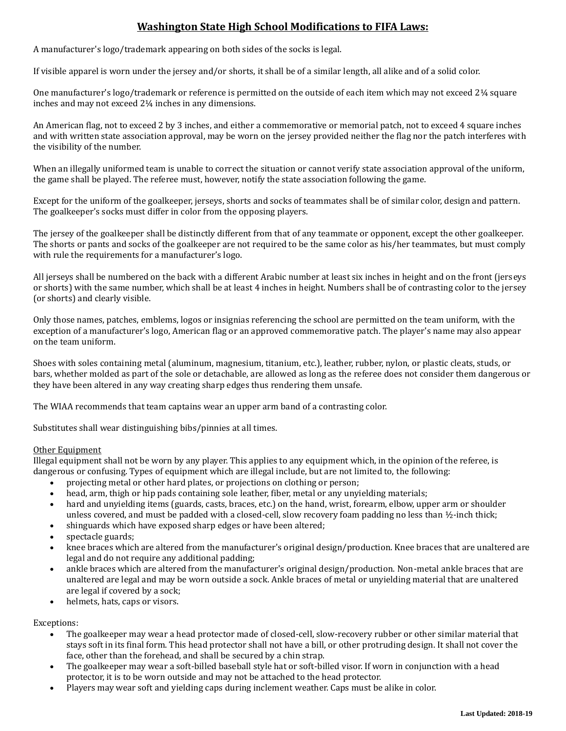A manufacturer's logo/trademark appearing on both sides of the socks is legal.

If visible apparel is worn under the jersey and/or shorts, it shall be of a similar length, all alike and of a solid color.

One manufacturer's logo/trademark or reference is permitted on the outside of each item which may not exceed 2¼ square inches and may not exceed 2¼ inches in any dimensions.

An American flag, not to exceed 2 by 3 inches, and either a commemorative or memorial patch, not to exceed 4 square inches and with written state association approval, may be worn on the jersey provided neither the flag nor the patch interferes with the visibility of the number.

When an illegally uniformed team is unable to correct the situation or cannot verify state association approval of the uniform, the game shall be played. The referee must, however, notify the state association following the game.

Except for the uniform of the goalkeeper, jerseys, shorts and socks of teammates shall be of similar color, design and pattern. The goalkeeper's socks must differ in color from the opposing players.

The jersey of the goalkeeper shall be distinctly different from that of any teammate or opponent, except the other goalkeeper. The shorts or pants and socks of the goalkeeper are not required to be the same color as his/her teammates, but must comply with rule the requirements for a manufacturer's logo.

All jerseys shall be numbered on the back with a different Arabic number at least six inches in height and on the front (jerseys or shorts) with the same number, which shall be at least 4 inches in height. Numbers shall be of contrasting color to the jersey (or shorts) and clearly visible.

Only those names, patches, emblems, logos or insignias referencing the school are permitted on the team uniform, with the exception of a manufacturer's logo, American flag or an approved commemorative patch. The player's name may also appear on the team uniform.

Shoes with soles containing metal (aluminum, magnesium, titanium, etc.), leather, rubber, nylon, or plastic cleats, studs, or bars, whether molded as part of the sole or detachable, are allowed as long as the referee does not consider them dangerous or they have been altered in any way creating sharp edges thus rendering them unsafe.

The WIAA recommends that team captains wear an upper arm band of a contrasting color.

Substitutes shall wear distinguishing bibs/pinnies at all times.

### Other Equipment

Illegal equipment shall not be worn by any player. This applies to any equipment which, in the opinion of the referee, is dangerous or confusing. Types of equipment which are illegal include, but are not limited to, the following:

- projecting metal or other hard plates, or projections on clothing or person;
- head, arm, thigh or hip pads containing sole leather, fiber, metal or any unyielding materials;
- hard and unyielding items (guards, casts, braces, etc.) on the hand, wrist, forearm, elbow, upper arm or shoulder unless covered, and must be padded with a closed-cell, slow recovery foam padding no less than ½-inch thick;
- shinguards which have exposed sharp edges or have been altered;
- spectacle guards;
- knee braces which are altered from the manufacturer's original design/production. Knee braces that are unaltered are legal and do not require any additional padding;
- ankle braces which are altered from the manufacturer's original design/production. Non-metal ankle braces that are unaltered are legal and may be worn outside a sock. Ankle braces of metal or unyielding material that are unaltered are legal if covered by a sock;
- helmets, hats, caps or visors.

Exceptions:

- The goalkeeper may wear a head protector made of closed-cell, slow-recovery rubber or other similar material that stays soft in its final form. This head protector shall not have a bill, or other protruding design. It shall not cover the face, other than the forehead, and shall be secured by a chin strap.
- The goalkeeper may wear a soft-billed baseball style hat or soft-billed visor. If worn in conjunction with a head protector, it is to be worn outside and may not be attached to the head protector.
- Players may wear soft and yielding caps during inclement weather. Caps must be alike in color.